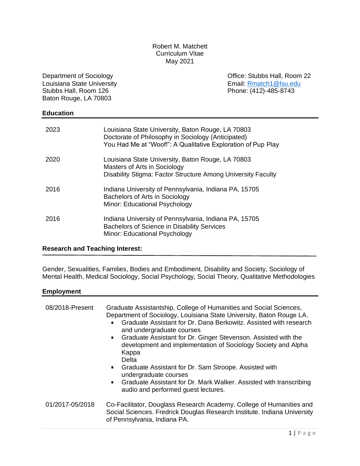### Robert M. Matchett Curriculum Vitae May 2021

Department of Sociology Louisiana State University Stubbs Hall, Room 126 Baton Rouge, LA 70803

Office: Stubbs Hall, Room 22 Email: [Rmatch1@lsu.edu](about:blank) Phone: (412)-485-8743

### **Education**

| 2023 | Louisiana State University, Baton Rouge, LA 70803<br>Doctorate of Philosophy in Sociology (Anticipated)<br>You Had Me at "Woof!": A Qualitative Exploration of Pup Play |
|------|-------------------------------------------------------------------------------------------------------------------------------------------------------------------------|
| 2020 | Louisiana State University, Baton Rouge, LA 70803<br>Masters of Arts in Sociology<br>Disability Stigma: Factor Structure Among University Faculty                       |
| 2016 | Indiana University of Pennsylvania, Indiana PA, 15705<br>Bachelors of Arts in Sociology<br>Minor: Educational Psychology                                                |
| 2016 | Indiana University of Pennsylvania, Indiana PA, 15705<br><b>Bachelors of Science in Disability Services</b><br>Minor: Educational Psychology                            |

#### **Research and Teaching Interest:**

Gender, Sexualities, Families, Bodies and Embodiment, Disability and Society, Sociology of Mental Health, Medical Sociology, Social Psychology, Social Theory, Qualitative Methodologies

### **Employment**

| 08/2018-Present | Graduate Assistantship, College of Humanities and Social Sciences,<br>Department of Sociology, Louisiana State University, Baton Rouge LA.<br>Graduate Assistant for Dr. Dana Berkowitz, Assisted with research<br>and undergraduate courses<br>• Graduate Assistant for Dr. Ginger Stevenson. Assisted with the<br>development and implementation of Sociology Society and Alpha<br>Kappa<br>Delta<br>Graduate Assistant for Dr. Sam Stroope. Assisted with<br>undergraduate courses<br>Graduate Assistant for Dr. Mark Walker. Assisted with transcribing<br>audio and performed guest lectures. |
|-----------------|----------------------------------------------------------------------------------------------------------------------------------------------------------------------------------------------------------------------------------------------------------------------------------------------------------------------------------------------------------------------------------------------------------------------------------------------------------------------------------------------------------------------------------------------------------------------------------------------------|
| 01/2017-05/2018 | Co-Facilitator, Douglass Research Academy. College of Humanities and<br>Social Sciences. Fredrick Douglas Research Institute. Indiana University<br>of Pennsylvania, Indiana PA.                                                                                                                                                                                                                                                                                                                                                                                                                   |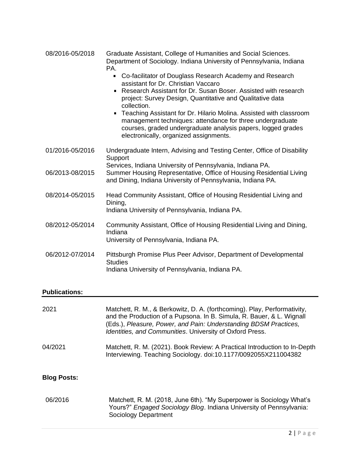| 08/2016-05/2018 | Graduate Assistant, College of Humanities and Social Sciences.       |
|-----------------|----------------------------------------------------------------------|
|                 | Department of Sociology. Indiana University of Pennsylvania, Indiana |
|                 | PA.                                                                  |

- Co-facilitator of Douglass Research Academy and Research assistant for Dr. Christian Vaccaro
- Research Assistant for Dr. Susan Boser. Assisted with research project: Survey Design, Quantitative and Qualitative data collection.
- Teaching Assistant for Dr. Hilario Molina. Assisted with classroom management techniques: attendance for three undergraduate courses, graded undergraduate analysis papers, logged grades electronically, organized assignments.

| 01/2016-05/2016 | Undergraduate Intern, Advising and Testing Center, Office of Disability<br>Support                                                                                                              |
|-----------------|-------------------------------------------------------------------------------------------------------------------------------------------------------------------------------------------------|
| 06/2013-08/2015 | Services, Indiana University of Pennsylvania, Indiana PA.<br>Summer Housing Representative, Office of Housing Residential Living<br>and Dining, Indiana University of Pennsylvania, Indiana PA. |
| 08/2014-05/2015 | Head Community Assistant, Office of Housing Residential Living and<br>Dining,<br>Indiana University of Pennsylvania, Indiana PA.                                                                |
| 08/2012-05/2014 | Community Assistant, Office of Housing Residential Living and Dining,<br>Indiana<br>University of Pennsylvania, Indiana PA.                                                                     |
| 06/2012-07/2014 | Pittsburgh Promise Plus Peer Advisor, Department of Developmental<br><b>Studies</b><br>Indiana University of Pennsylvania, Indiana PA.                                                          |

## **Publications:**

| 2021               | Matchett, R. M., & Berkowitz, D. A. (forthcoming). Play, Performativity,<br>and the Production of a Pupsona. In B. Simula, R. Bauer, & L. Wignall<br>(Eds.), Pleasure, Power, and Pain: Understanding BDSM Practices,<br>Identities, and Communities. University of Oxford Press. |
|--------------------|-----------------------------------------------------------------------------------------------------------------------------------------------------------------------------------------------------------------------------------------------------------------------------------|
| 04/2021            | Matchett, R. M. (2021). Book Review: A Practical Introduction to In-Depth<br>Interviewing. Teaching Sociology. doi:10.1177/0092055X211004382                                                                                                                                      |
| <b>Blog Posts:</b> |                                                                                                                                                                                                                                                                                   |
| 06/2016            | Matchett, R. M. (2018, June 6th). "My Superpower is Sociology What's<br>Yours?" Engaged Sociology Blog. Indiana University of Pennsylvania:<br>Sociology Department                                                                                                               |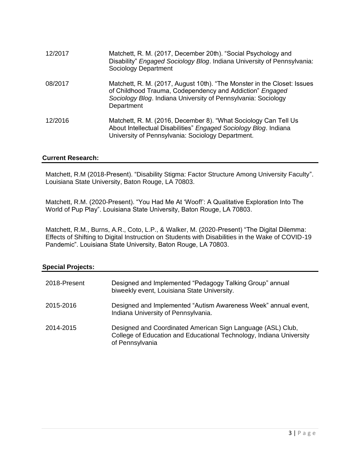| 12/2017 | Matchett, R. M. (2017, December 20th). "Social Psychology and<br>Disability" Engaged Sociology Blog. Indiana University of Pennsylvania:<br>Sociology Department                                                   |
|---------|--------------------------------------------------------------------------------------------------------------------------------------------------------------------------------------------------------------------|
| 08/2017 | Matchett, R. M. (2017, August 10th). "The Monster in the Closet: Issues<br>of Childhood Trauma, Codependency and Addiction" Engaged<br>Sociology Blog. Indiana University of Pennsylvania: Sociology<br>Department |
| 12/2016 | Matchett, R. M. (2016, December 8). "What Sociology Can Tell Us<br>About Intellectual Disabilities" Engaged Sociology Blog. Indiana<br>University of Pennsylvania: Sociology Department.                           |

## **Current Research:**

Matchett, R.M (2018-Present). "Disability Stigma: Factor Structure Among University Faculty". Louisiana State University, Baton Rouge, LA 70803.

Matchett, R.M. (2020-Present). "You Had Me At 'Woof!': A Qualitative Exploration Into The World of Pup Play". Louisiana State University, Baton Rouge, LA 70803.

Matchett, R.M., Burns, A.R., Coto, L.P., & Walker, M. (2020-Present) "The Digital Dilemma: Effects of Shifting to Digital Instruction on Students with Disabilities in the Wake of COVID-19 Pandemic". Louisiana State University, Baton Rouge, LA 70803.

## **Special Projects:**

| 2018-Present | Designed and Implemented "Pedagogy Talking Group" annual<br>biweekly event, Louisiana State University.                                               |
|--------------|-------------------------------------------------------------------------------------------------------------------------------------------------------|
| 2015-2016    | Designed and Implemented "Autism Awareness Week" annual event,<br>Indiana University of Pennsylvania.                                                 |
| 2014-2015    | Designed and Coordinated American Sign Language (ASL) Club,<br>College of Education and Educational Technology, Indiana University<br>of Pennsylvania |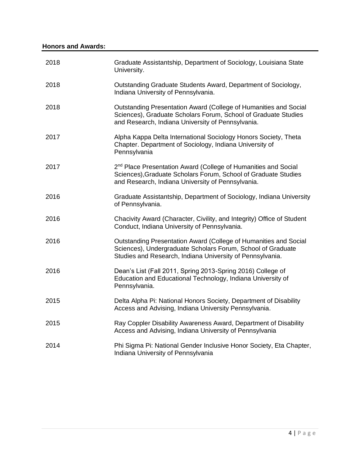| 2018 | Graduate Assistantship, Department of Sociology, Louisiana State<br>University.                                                                                                                   |
|------|---------------------------------------------------------------------------------------------------------------------------------------------------------------------------------------------------|
| 2018 | Outstanding Graduate Students Award, Department of Sociology,<br>Indiana University of Pennsylvania.                                                                                              |
| 2018 | Outstanding Presentation Award (College of Humanities and Social<br>Sciences), Graduate Scholars Forum, School of Graduate Studies<br>and Research, Indiana University of Pennsylvania.           |
| 2017 | Alpha Kappa Delta International Sociology Honors Society, Theta<br>Chapter. Department of Sociology, Indiana University of<br>Pennsylvania                                                        |
| 2017 | 2 <sup>nd</sup> Place Presentation Award (College of Humanities and Social<br>Sciences), Graduate Scholars Forum, School of Graduate Studies<br>and Research, Indiana University of Pennsylvania. |
| 2016 | Graduate Assistantship, Department of Sociology, Indiana University<br>of Pennsylvania.                                                                                                           |
| 2016 | Chacivity Award (Character, Civility, and Integrity) Office of Student<br>Conduct, Indiana University of Pennsylvania.                                                                            |
| 2016 | Outstanding Presentation Award (College of Humanities and Social<br>Sciences), Undergraduate Scholars Forum, School of Graduate<br>Studies and Research, Indiana University of Pennsylvania.      |
| 2016 | Dean's List (Fall 2011, Spring 2013-Spring 2016) College of<br>Education and Educational Technology, Indiana University of<br>Pennsylvania.                                                       |
| 2015 | Delta Alpha Pi: National Honors Society, Department of Disability<br>Access and Advising, Indiana University Pennsylvania.                                                                        |
| 2015 | Ray Coppler Disability Awareness Award, Department of Disability<br>Access and Advising, Indiana University of Pennsylvania                                                                       |
| 2014 | Phi Sigma Pi: National Gender Inclusive Honor Society, Eta Chapter,<br>Indiana University of Pennsylvania                                                                                         |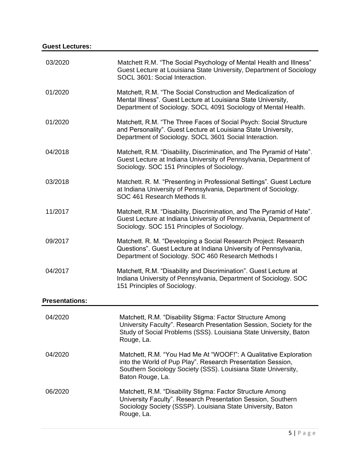| 03/2020               | Matchett R.M. "The Social Psychology of Mental Health and Illness"<br>Guest Lecture at Louisiana State University, Department of Sociology<br>SOCL 3601: Social Interaction.                                         |
|-----------------------|----------------------------------------------------------------------------------------------------------------------------------------------------------------------------------------------------------------------|
| 01/2020               | Matchett, R.M. "The Social Construction and Medicalization of<br>Mental Illness". Guest Lecture at Louisiana State University,<br>Department of Sociology. SOCL 4091 Sociology of Mental Health.                     |
| 01/2020               | Matchett, R.M. "The Three Faces of Social Psych: Social Structure<br>and Personality". Guest Lecture at Louisiana State University,<br>Department of Sociology. SOCL 3601 Social Interaction.                        |
| 04/2018               | Matchett, R.M. "Disability, Discrimination, and The Pyramid of Hate".<br>Guest Lecture at Indiana University of Pennsylvania, Department of<br>Sociology. SOC 151 Principles of Sociology.                           |
| 03/2018               | Matchett. R. M. "Presenting in Professional Settings". Guest Lecture<br>at Indiana University of Pennsylvania, Department of Sociology.<br>SOC 461 Research Methods II.                                              |
| 11/2017               | Matchett, R.M. "Disability, Discrimination, and The Pyramid of Hate".<br>Guest Lecture at Indiana University of Pennsylvania, Department of<br>Sociology. SOC 151 Principles of Sociology.                           |
| 09/2017               | Matchett. R. M. "Developing a Social Research Project: Research<br>Questions". Guest Lecture at Indiana University of Pennsylvania,<br>Department of Sociology. SOC 460 Research Methods I                           |
| 04/2017               | Matchett, R.M. "Disability and Discrimination". Guest Lecture at<br>Indiana University of Pennsylvania, Department of Sociology. SOC<br>151 Principles of Sociology.                                                 |
| <b>Presentations:</b> |                                                                                                                                                                                                                      |
| 04/2020               | Matchett, R.M. "Disability Stigma: Factor Structure Among<br>University Faculty". Research Presentation Session, Society for the<br>Study of Social Problems (SSS). Louisiana State University, Baton<br>Rouge, La.  |
| 04/2020               | Matchett, R.M. "You Had Me At "WOOF!": A Qualitative Exploration<br>into the World of Pup Play". Research Presentation Session,<br>Southern Sociology Society (SSS). Louisiana State University,<br>Baton Rouge, La. |
| 06/2020               | Matchett, R.M. "Disability Stigma: Factor Structure Among<br>University Faculty". Research Presentation Session, Southern<br>Sociology Society (SSSP). Louisiana State University, Baton<br>Rouge, La.               |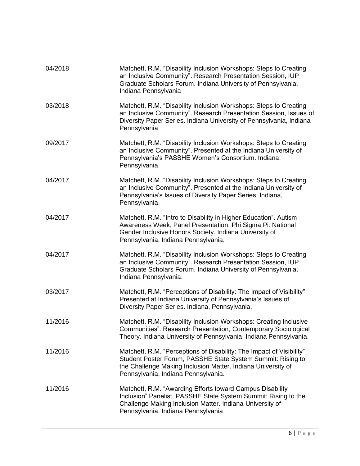| 04/2018 | Matchett, R.M. "Disability Inclusion Workshops: Steps to Creating<br>an Inclusive Community". Research Presentation Session, IUP<br>Graduate Scholars Forum. Indiana University of Pennsylvania,<br>Indiana Pennsylvania                   |
|---------|--------------------------------------------------------------------------------------------------------------------------------------------------------------------------------------------------------------------------------------------|
| 03/2018 | Matchett, R.M. "Disability Inclusion Workshops: Steps to Creating<br>an Inclusive Community". Research Presentation Session, Issues of<br>Diversity Paper Series. Indiana University of Pennsylvania, Indiana<br>Pennsylvania              |
| 09/2017 | Matchett, R.M. "Disability Inclusion Workshops: Steps to Creating<br>an Inclusive Community". Presented at the Indiana University of<br>Pennsylvania's PASSHE Women's Consortium. Indiana,<br>Pennsylvania.                                |
| 04/2017 | Matchett, R.M. "Disability Inclusion Workshops: Steps to Creating<br>an Inclusive Community". Presented at the Indiana University of<br>Pennsylvania's Issues of Diversity Paper Series. Indiana,<br>Pennsylvania.                         |
| 04/2017 | Matchett, R.M. "Intro to Disability in Higher Education". Autism<br>Awareness Week, Panel Presentation. Phi Sigma Pi: National<br>Gender Inclusive Honors Society. Indiana University of<br>Pennsylvania, Indiana Pennsylvania.            |
| 04/2017 | Matchett, R.M. "Disability Inclusion Workshops: Steps to Creating<br>an Inclusive Community". Research Presentation Session, IUP<br>Graduate Scholars Forum. Indiana University of Pennsylvania,<br>Indiana Pennsylvania.                  |
| 03/2017 | Matchett, R.M. "Perceptions of Disability: The Impact of Visibility"<br>Presented at Indiana University of Pennsylvania's Issues of<br>Diversity Paper Series. Indiana, Pennsylvania.                                                      |
| 11/2016 | Matchett, R.M. "Disability Inclusion Workshops: Creating Inclusive<br>Communities". Research Presentation, Contemporary Sociological<br>Theory. Indiana University of Pennsylvania, Indiana Pennsylvania.                                  |
| 11/2016 | Matchett, R.M. "Perceptions of Disability: The Impact of Visibility"<br>Student Poster Forum, PASSHE State System Summit: Rising to<br>the Challenge Making Inclusion Matter. Indiana University of<br>Pennsylvania, Indiana Pennsylvania. |
| 11/2016 | Matchett, R.M. "Awarding Efforts toward Campus Disability<br>Inclusion" Panelist, PASSHE State System Summit: Rising to the<br>Challenge Making Inclusion Matter. Indiana University of<br>Pennsylvania, Indiana Pennsylvania              |
|         |                                                                                                                                                                                                                                            |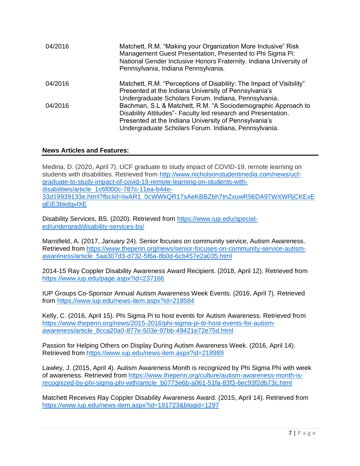| 04/2016 | Matchett, R.M. "Making your Organization More Inclusive" Risk<br>Management Guest Presentation, Presented to Phi Sigma Pi:<br>National Gender Inclusive Honors Fraternity. Indiana University of<br>Pennsylvania, Indiana Pennsylvania. |
|---------|-----------------------------------------------------------------------------------------------------------------------------------------------------------------------------------------------------------------------------------------|
| 04/2016 | Matchett, R.M. "Perceptions of Disability: The Impact of Visibility"<br>Presented at the Indiana University of Pennsylvania's                                                                                                           |
|         | Undergraduate Scholars Forum. Indiana, Pennsylvania.                                                                                                                                                                                    |
| 04/2016 | Bachman, S.L & Matchett, R.M. "A Sociodemographic Approach to                                                                                                                                                                           |
|         | Disability Attitudes" - Faculty led research and Presentation.                                                                                                                                                                          |
|         | Presented at the Indiana University of Pennsylvania's                                                                                                                                                                                   |
|         | Undergraduate Scholars Forum. Indiana, Pennsylvania.                                                                                                                                                                                    |

## **News Articles and Features:**

Medina, D. (2020, April 7). UCF graduate to study impact of COVID-19, remote learning on students with disabilities. Retrieved from [http://www.nicholsonstudentmedia.com/news/ucf](about:blank)[graduate-to-study-impact-of-covid-19-remote-learning-on-students-with](about:blank)[disabilities/article\\_1c6f000c-787c-11ea-b44e-](about:blank)[33d19939133e.html?fbclid=IwAR1\\_0cWWkQR17sAeKBBZbh7tnZxuwR56DA97WXWRjCKExE](about:blank) [gEiE3bkdqvlXE](about:blank)

Disability Services, BS. (2020). Retrieved from [https://www.iup.edu/special](about:blank)[ed/undergrad/disability-services-bs/](about:blank)

Mansfield, A. (2017, January 24). Senior focuses on community service, Autism Awareness. Retrieved from [https://www.thepenn.org/news/senior-focuses-on-community-service-autism](about:blank)[awareness/article\\_5aa307d3-d732-5f6a-8b0d-6cb457e2a035.html](about:blank)

2014-15 Ray Coppler Disability Awareness Award Recipient. (2018, April 12). Retrieved from [https://www.iup.edu/page.aspx?id=237166](about:blank)

IUP Groups Co-Sponsor Annual Autism Awareness Week Events. (2016, April 7). Retrieved from [https://www.iup.edu/news-item.aspx?id=218584](about:blank)

Kelly, C. (2016, April 15). Phi Sigma Pi to host events for Autism Awareness. Retrieved from [https://www.thepenn.org/news/2015-2016/phi-sigma-pi-to-host-events-for-autism](about:blank)[awareness/article\\_8cca20a0-877e-503e-97bb-49421e72e75d.html](about:blank)

Passion for Helping Others on Display During Autism Awareness Week. (2016, April 14). Retrieved from [https://www.iup.edu/news-item.aspx?id=218989](about:blank)

Lawley, J. (2015, April 4). Autism Awareness Month is recognized by Phi Sigma Phi with week of awareness. Retrieved from [https://www.thepenn.org/culture/autism-awareness-month-is](about:blank)[recognized-by-phi-sigma-phi-with/article\\_b0773e6b-a061-51fa-83f3-6ec93f2db73c.html](about:blank)

Matchett Receives Ray Coppler Disability Awareness Award. (2015, April 14). Retrieved from [https://www.iup.edu/news-item.aspx?id=191723&blogid=1297](about:blank)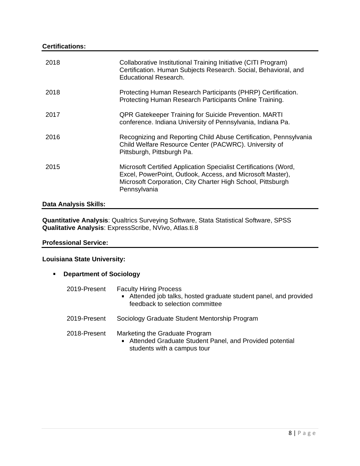## **Certifications:**

| 2018 | Collaborative Institutional Training Initiative (CITI Program)<br>Certification. Human Subjects Research. Social, Behavioral, and<br>Educational Research.                                                    |
|------|---------------------------------------------------------------------------------------------------------------------------------------------------------------------------------------------------------------|
| 2018 | Protecting Human Research Participants (PHRP) Certification.<br>Protecting Human Research Participants Online Training.                                                                                       |
| 2017 | <b>QPR Gatekeeper Training for Suicide Prevention. MARTI</b><br>conference. Indiana University of Pennsylvania, Indiana Pa.                                                                                   |
| 2016 | Recognizing and Reporting Child Abuse Certification, Pennsylvania<br>Child Welfare Resource Center (PACWRC). University of<br>Pittsburgh, Pittsburgh Pa.                                                      |
| 2015 | Microsoft Certified Application Specialist Certifications (Word,<br>Excel, PowerPoint, Outlook, Access, and Microsoft Master),<br>Microsoft Corporation, City Charter High School, Pittsburgh<br>Pennsylvania |

# **Data Analysis Skills:**

**Quantitative Analysis**: Qualtrics Surveying Software, Stata Statistical Software, SPSS **Qualitative Analysis**: ExpressScribe, NVivo, Atlas.ti.8

### **Professional Service:**

## **Louisiana State University:**

**Department of Sociology**

| 2019-Present | <b>Faculty Hiring Process</b><br>Attended job talks, hosted graduate student panel, and provided<br>feedback to selection committee |
|--------------|-------------------------------------------------------------------------------------------------------------------------------------|
| 2019-Present | Sociology Graduate Student Mentorship Program                                                                                       |
| 2018-Present | Marketing the Graduate Program<br>Attended Graduate Student Panel, and Provided potential<br>students with a campus tour            |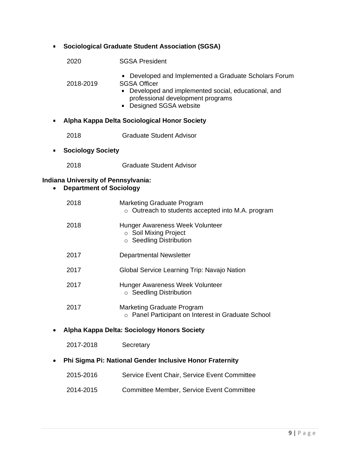| ■ |                                                                              | <b>Sociological Graduate Student Association (SGSA)</b>                                                                                                                                            |
|---|------------------------------------------------------------------------------|----------------------------------------------------------------------------------------------------------------------------------------------------------------------------------------------------|
|   | 2020                                                                         | <b>SGSA President</b>                                                                                                                                                                              |
|   | 2018-2019                                                                    | • Developed and Implemented a Graduate Scholars Forum<br><b>SGSA Officer</b><br>Developed and implemented social, educational, and<br>professional development programs<br>• Designed SGSA website |
| ٠ |                                                                              | Alpha Kappa Delta Sociological Honor Society                                                                                                                                                       |
|   | 2018                                                                         | <b>Graduate Student Advisor</b>                                                                                                                                                                    |
| ٠ | <b>Sociology Society</b>                                                     |                                                                                                                                                                                                    |
|   | 2018                                                                         | <b>Graduate Student Advisor</b>                                                                                                                                                                    |
|   | <b>Indiana University of Pennsylvania:</b><br><b>Department of Sociology</b> |                                                                                                                                                                                                    |
|   | 2018                                                                         | <b>Marketing Graduate Program</b><br>o Outreach to students accepted into M.A. program                                                                                                             |
|   | 2018                                                                         | Hunger Awareness Week Volunteer<br>○ Soil Mixing Project<br>○ Seedling Distribution                                                                                                                |
|   | 2017                                                                         | <b>Departmental Newsletter</b>                                                                                                                                                                     |
|   | 2017                                                                         | Global Service Learning Trip: Navajo Nation                                                                                                                                                        |
|   | 2017                                                                         | Hunger Awareness Week Volunteer<br>○ Seedling Distribution                                                                                                                                         |
|   | 2017                                                                         | Marketing Graduate Program<br>o Panel Participant on Interest in Graduate School                                                                                                                   |
|   |                                                                              | Alpha Kappa Delta: Sociology Honors Society                                                                                                                                                        |
|   | 2017-2018                                                                    | Secretary                                                                                                                                                                                          |
|   |                                                                              | Phi Sigma Pi: National Gender Inclusive Honor Fraternity                                                                                                                                           |
|   | 2015-2016                                                                    | Service Event Chair, Service Event Committee                                                                                                                                                       |
|   | 2014-2015                                                                    | <b>Committee Member, Service Event Committee</b>                                                                                                                                                   |
|   |                                                                              |                                                                                                                                                                                                    |